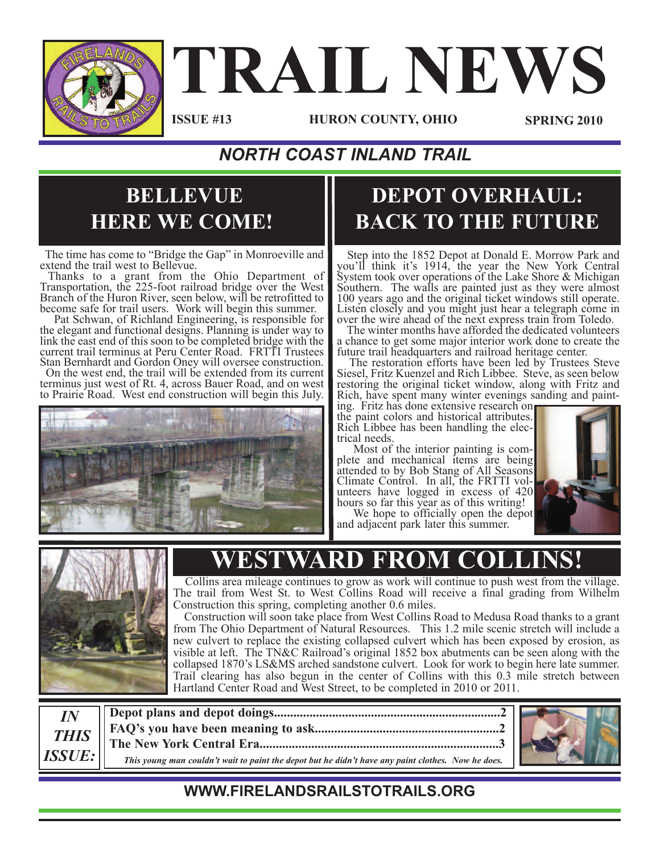

# **TRAIL NEWS**

**ISSUE #13**

**HURON COUNTY, OHIO SPRING 2010**

#### *NORTH COAST INLAND TRAIL*

#### **BELLEVUE HERE WE COME!**

The time has come to "Bridge the Gap" in Monroeville and extend the trail west to Bellevue. Thanks to <sup>a</sup> grant from the Ohio Department of

Transportation, the 225-foot railroad bridge over the West Branch of the Huron River, seen below, will be retrofitted to

become safe for trail users. Work will begin this summer. Pat Schwan, of Richland Engineering, is responsible for the elegant and functional designs. Planning is under way to link the east end of this soon to be completed bridge with the current trail terminus at Peru Center Road. FRTTI Trustees Stan Bernhardt and Gordon Oney will oversee construction. On the west end, the trail will be extended from its current

terminus just west of Rt. 4, across Bauer Road, and on west to Prairie Road. West end construction will begin this July.



#### **DEPOT OVERHAUL: BACK TO THE FUTURE**

Step into the 1852 Depot at Donald E. Morrow Park and you'll think it's 1914, the year the New York Central System took over operations of the Lake Shore & Michigan Southern. The walls are painted just as they were almost <sup>100</sup> years ago and the original ticket windows still operate. Listen closely and you might just hear <sup>a</sup> telegraph come in over the wire ahead of the next express train from Toledo. The winter months have afforded the dedicated volunteers

a chance to get some major interior work done to create the

future trail headquarters and railroad heritage center. The restoration efforts have been led by Trustees Steve Siesel, Fritz Kuenzel and Rich Libbee. Steve, as seen below restoring the original ticket window, along with Fritz and Rich, have spent many winter evenings sanding and paint-<br>ing. Fritz has done extensive research on<br>the paint colors and historical attributes.

the paint colors and historical attributes.<br>Rich Libbee has been handling the elec-<br>trical needs.<br>Most of the interior painting is com-<br>plete and mechanical items are being

attended to by Bob Stang of All Seasons Climate Control. In all, the FRTTI vol- unteers have logged in excess of <sup>420</sup> hours so far this year as of this writing!

We hope to officially open the depot and adjacent park later this summer.





## **ESTWARD FROM COL**

Collins area mileage continues to grow as work will continue to push west from the village. The trail from West St. to West Collins Road will receive <sup>a</sup> final grading from Wilhelm

Construction will soon take place from West Collins Road to Medusa Road thanks to a grant from The Ohio Department of Natural Resources. This 1.2 mile scenic stretch will include a new culvert to replace the existing collapsed culvert which has been exposed by erosion, as visible at left. The TN&C Railroad's original 1852 box abutments can be seen along with the collapsed 1870's LS&MS arched sandstone culvert. Look for work to begin here late summer. Trail clearing has also begun in the center of Collins with this 0.3 mile stretch between Hartland Center Road and West Street, to be completed in 2010 or 2011.

*IN THIS ISSUE:* **Depot plans and depot doings......................................................................2 FAQ's you have been meaning to ask.........................................................2 The New York Central Era..........................................................................3** This young man couldn't wait to paint the depot but he didn't have any paint clothes. Now he does.



#### **WWW.FIRELANDSRAILSTOTRAILS.ORG**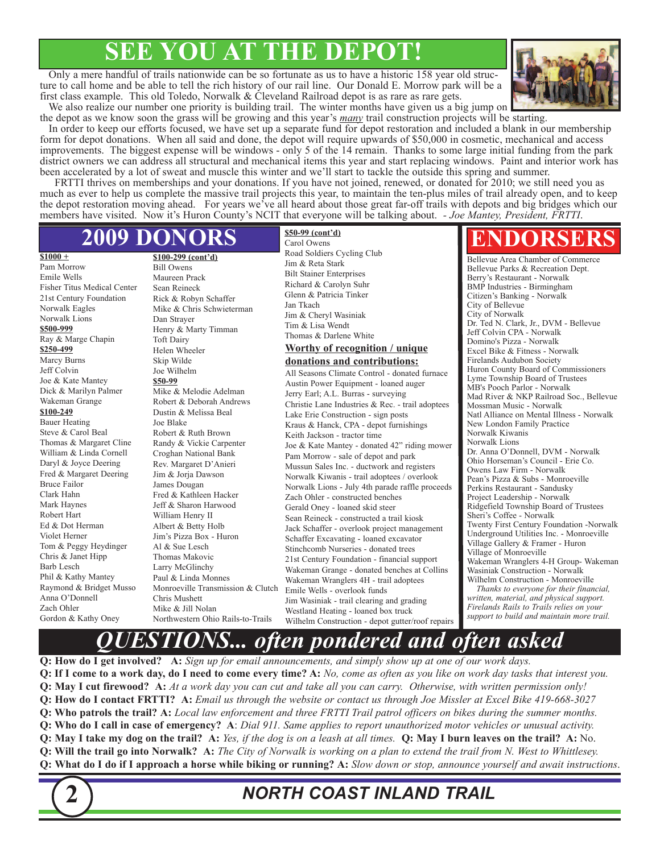### **SEE YOU AT THE DEPOT!**

Only a mere handful of trails nationwide can be so fortunate as us to have a historic 158 year old structure to call home and be able to tell the rich history of our rail line. Our Donald E. Morrow park will be a first class example. This old Toledo, Norwalk & Cleveland Railroad depot is as rare as rare gets.



We also realize our number one priority is building trail. The winter months have given us a big jump on the depot as we know soon the grass will be growing and this year's *many* trail construction projects will be starting.

In order to keep our efforts focused, we have set up a separate fund for depot restoration and included a blank in our membership form for depot donations. When all said and done, the depot will require upwards of \$50,000 in cosmetic, mechanical and access improvements. The biggest expense will be windows - only 5 of the 14 remain. Thanks to some large initial funding from the park district owners we can address all structural and mechanical items this year and start replacing windows. Paint and interior work has been accelerated by a lot of sweat and muscle this winter and we'll start to tackle the outside this spring and summer.

FRTTI thrives on memberships and your donations. If you have not joined, renewed, or donated for 2010; we still need you as much as ever to help us complete the massive trail projects this year, to maintain the ten-plus miles of trail already open, and to keep the depot restoration moving ahead. For years we've all heard about those great far-off trails with depots and big bridges which our members have visited. Now it's Huron County's NCIT that everyone will be talking about. *- Joe Mantey, President, FRTTI*.

**\$50-99 (cont'd)**

#### **2009 DONORS**

**\$1000 +**

Pam Morrow Emile Wells Fisher Titus Medical Center 21st Century Foundation Norwalk Eagles Norwalk Lions **\$500-999** Ray & Marge Chapin **\$250-499** Marcy Burns Jeff Colvin Joe & Kate Mantey Dick & Marilyn Palmer Wakeman Grange **\$100-249** Bauer Heating Steve & Carol Beal Thomas & Margaret Cline William & Linda Cornell Daryl & Joyce Deering Fred & Margaret Deering Bruce Failor Clark Hahn Mark Haynes Robert Hart Ed & Dot Herman Violet Herner Tom & Peggy Heydinger Chris & Janet Hipp Barb Lesch Phil & Kathy Mantey Raymond & Bridget Musso Anna O'Donnell Zach Ohler Gordon & Kathy Oney

**\$100-299 (cont'd)** Bill Owens Maureen Prack Sean Reineck Rick & Robyn Schaffer Mike & Chris Schwieterman Dan Strayer Henry & Marty Timman Toft Dairy Helen Wheeler Skip Wilde Joe Wilhelm **\$50-99** Mike & Melodie Adelman Robert & Deborah Andrews Dustin & Melissa Beal Joe Blake Robert & Ruth Brown Randy & Vickie Carpenter Croghan National Bank Rev. Margaret D'Anieri Jim & Jorja Dawson James Dougan Fred & Kathleen Hacker Jeff & Sharon Harwood William Henry II Albert & Betty Holb Jim's Pizza Box - Huron Al & Sue Lesch Thomas Makovic Larry McGlinchy Paul & Linda Monnes Monroeville Transmission & Clutch Chris Mushett Mike & Jill Nolan Northwestern Ohio Rails-to-Trails

Carol Owens Road Soldiers Cycling Club Jim & Reta Stark Bilt Stainer Enterprises Richard & Carolyn Suhr Glenn & Patricia Tinker Jan Tkach Jim & Cheryl Wasiniak Tim & Lisa Wendt Thomas & Darlene White

#### **Worthy of recognition / unique**

**donations and contributions:** All Seasons Climate Control - donated furnace Austin Power Equipment - loaned auger Jerry Earl; A.L. Burras - surveying Christie Lane Industries & Rec. - trail adoptees

Lake Erie Construction - sign posts Kraus & Hanck, CPA - depot furnishings Keith Jackson - tractor time Joe & Kate Mantey - donated 42" riding mower Pam Morrow - sale of depot and park Mussun Sales Inc. - ductwork and registers Norwalk Kiwanis - trail adoptees / overlook Norwalk Lions - July 4th parade raffle proceeds Zach Ohler - constructed benches Gerald Oney - loaned skid steer Sean Reineck - constructed a trail kiosk Jack Schaffer - overlook project management Schaffer Excavating - loaned excavator Stinchcomb Nurseries - donated trees 21st Century Foundation - financial support Wakeman Grange - donated benches at Collins Wakeman Wranglers 4H - trail adoptees Emile Wells - overlook funds Jim Wasiniak - trail clearing and grading Westland Heating - loaned box truck Wilhelm Construction - depot gutter/roof repairs

#### **ENDORSERS**

Bellevue Area Chamber of Commerce Bellevue Parks & Recreation Dept. Berry's Restaurant - Norwalk BMP Industries - Birmingham Citizen's Banking - Norwalk City of Bellevue City of Norwalk Dr. Ted N. Clark, Jr., DVM - Bellevue Jeff Colvin CPA - Norwalk Domino's Pizza - Norwalk Excel Bike & Fitness - Norwalk Firelands Audubon Society Huron County Board of Commissioners Lyme Township Board of Trustees MB's Pooch Parlor - Norwalk Mad River & NKP Railroad Soc., Bellevue Mossman Music - Norwalk Natl Alliance on Mental Illness - Norwalk New London Family Practice Norwalk Kiwanis Norwalk Lions Dr. Anna O'Donnell, DVM - Norwalk Ohio Horseman's Council - Erie Co. Owens Law Firm - Norwalk Pean's Pizza & Subs - Monroeville Perkins Restaurant - Sandusky Project Leadership - Norwalk Ridgefield Township Board of Trustees Sheri's Coffee - Norwalk Twenty First Century Foundation -Norwalk Underground Utilities Inc. - Monroeville Village Gallery & Framer - Huron Village of Monroeville Wakeman Wranglers 4-H Group- Wakeman Wasiniak Construction - Norwalk Wilhelm Construction - Monroeville

*Thanks to everyone for their financial, written, material, and physical support. Firelands Rails to Trails relies on your support to build and maintain more trail.*

#### *QUESTIONS... often pondered and often asked*

Q: How do I get involved? A: Sign up for email announcements, and simply show up at one of our work days. **O:** If I come to a work day, do I need to come every time? A: No, come as often as you like on work day tasks that interest you. Q: May I cut firewood? A: At a work day you can cut and take all you can carry. Otherwise, with written permission only! Q: How do I contact FRTTI? A: Email us through the website or contact us through Joe Missler at Excel Bike 419-668-3027 **O: Who patrols the trail?** A: *Local law enforcement and three FRTTI Trail patrol officers on bikes during the summer months.* **O: Who do I call in case of emergency?** A: Dial 911. Same applies to report unauthorized motor vehicles or unusual activity. Q: May I take my dog on the trail? A: Yes, if the dog is on a leash at all times. Q: May I burn leaves on the trail? A: No. Q: Will the trail go into Norwalk? A: The City of Norwalk is working on a plan to extend the trail from N. West to Whittlesey. Q: What do I do if I approach a horse while biking or running? A: Slow down or stop, announce yourself and await instructions.



#### **2** *NORTH COAST INLAND TRAIL*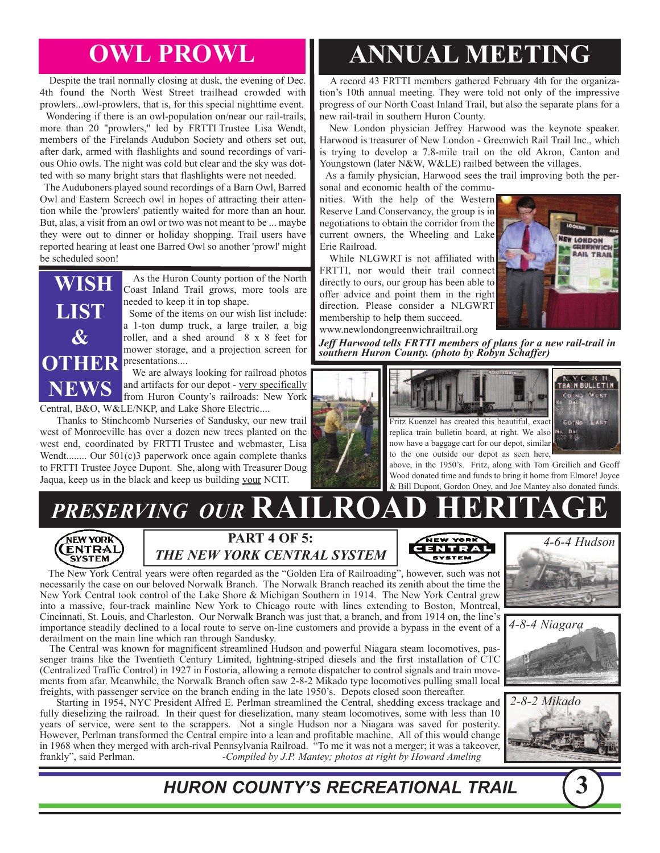Despite the trail normally closing at dusk, the evening of Dec. 4th found the North West Street trailhead crowded with prowlers...owl-prowlers, that is, for this special nighttime event.

Wondering if there is an owl-population on/near our rail-trails, more than 20 "prowlers," led by FRTTI Trustee Lisa Wendt, members of the Firelands Audubon Society and others set out, after dark, armed with flashlights and sound recordings of various Ohio owls. The night was cold but clear and the sky was dotted with so many bright stars that flashlights were not needed.

The Auduboners played sound recordings of a Barn Owl, Barred Owl and Eastern Screech owl in hopes of attracting their attention while the 'prowlers' patiently waited for more than an hour. But, alas, a visit from an owl or two was not meant to be ... maybe they were out to dinner or holiday shopping. Trail users have reported hearing at least one Barred Owl so another 'prowl' might be scheduled soon!



As the Huron County portion of the North Coast Inland Trail grows, more tools are needed to keep it in top shape. Some of the items on our wish list include:

a 1-ton dump truck, a large trailer, a big roller, and a shed around 8 x 8 feet for mower storage, and a projection screen for

We are always looking for railroad photos and artifacts for our depot - very specifically from Huron County's railroads: New York

Central, B&O, W&LE/NKP, and Lake Shore Electric....

Thanks to Stinchcomb Nurseries of Sandusky, our new trail west of Monroeville has over a dozen new trees planted on the west end, coordinated by FRTTI Trustee and webmaster, Lisa Wendt........ Our 501(c)3 paperwork once again complete thanks to FRTTI Trustee Joyce Dupont. She, along with Treasurer Doug Jaqua, keep us in the black and keep us building your NCIT.

# **OWL PROWL ANNUAL MEETING**

A record 43 FRTTI members gathered February 4th for the organization's 10th annual meeting. They were told not only of the impressive progress of our North Coast Inland Trail, but also the separate plans for a new rail-trail in southern Huron County.

New London physician Jeffrey Harwood was the keynote speaker. Harwood is treasurer of New London - Greenwich Rail Trail Inc., which is trying to develop a 7.8-mile trail on the old Akron, Canton and Youngstown (later N&W, W&LE) railbed between the villages.

As a family physician, Harwood sees the trail improving both the personal and economic health of the commu-

nities. With the help of the Western Reserve Land Conservancy, the group is in negotiations to obtain the corridor from the current owners, the Wheeling and Lake Erie Railroad.

While NLGWRT is not affiliated with FRTTI, nor would their trail connect directly to ours, our group has been able to offer advice and point them in the right direction. Please consider a NLGWRT membership to help them succeed. www.newlondongreenwichrailtrail.org



*Jeff Harwood tells FRTTI members of plans for a new rail-trail in southern Huron County. (photo by Robyn Schaffer)*



**NTRA** 



above, in the 1950's. Fritz, along with Tom Greilich and Geoff Wood donated time and funds to bring it home from Elmore! Joyce & Bill Dupont, Gordon Oney, and Joe Mantey also donated funds.

# $PRESERVING$  *OUR*  $RAILROA$





The New York Central years were often regarded as the "Golden Era of Railroading", however, such was not necessarily the case on our beloved Norwalk Branch. The Norwalk Branch reached its zenith about the time the New York Central took control of the Lake Shore & Michigan Southern in 1914. The New York Central grew into a massive, four-track mainline New York to Chicago route with lines extending to Boston, Montreal, Cincinnati, St. Louis, and Charleston. Our Norwalk Branch was just that, a branch, and from 1914 on, the line's importance steadily declined to a local route to serve on-line customers and provide a bypass in the event of a derailment on the main line which ran through Sandusky.

The Central was known for magnificent streamlined Hudson and powerful Niagara steam locomotives, passenger trains like the Twentieth Century Limited, lightning-striped diesels and the first installation of CTC (Centralized Traffic Control) in 1927 in Fostoria, allowing a remote dispatcher to control signals and train movements from afar. Meanwhile, the Norwalk Branch often saw 2-8-2 Mikado type locomotives pulling small local freights, with passenger service on the branch ending in the late 1950's. Depots closed soon thereafter.

Starting in 1954, NYC President Alfred E. Perlman streamlined the Central, shedding excess trackage and fully dieselizing the railroad. In their quest for dieselization, many steam locomotives, some with less than 10 years of service, were sent to the scrappers. Not a single Hudson nor a Niagara was saved for posterity. However, Perlman transformed the Central empire into a lean and profitable machine. All of this would change in 1968 when they merged with arch-rival Pennsylvania Railroad. "To me it was not a merger; it was a takeover, frankly", said Perlman. -*Compiled by J.P. Mantey; photos at right by Howard Ameling*







*HURON COUNTY'S RECREATIONAL TRAIL* **3**